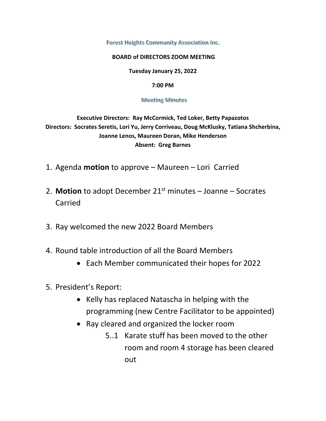Forest Heights Community Association Inc.

## **BOARD of DIRECTORS ZOOM MEETING**

**Tuesday January 25, 2022** 

## **7:00 PM**

## **Meeting Minutes**

**Executive Directors: Ray McCormick, Ted Loker, Betty Papazotos Directors: Socrates Seretis, Lori Yu, Jerry Corriveau, Doug McKlusky, Tatiana Shcherbina, Joanne Lenos, Maureen Doran, Mike Henderson Absent: Greg Barnes** 

- 1. Agenda **motion** to approve Maureen Lori Carried
- 2. **Motion** to adopt December 21st minutes Joanne Socrates Carried
- 3. Ray welcomed the new 2022 Board Members
- 4. Round table introduction of all the Board Members
	- Each Member communicated their hopes for 2022
- 5. President's Report:
	- Kelly has replaced Natascha in helping with the programming (new Centre Facilitator to be appointed)
	- Ray cleared and organized the locker room
		- 5..1 Karate stuff has been moved to the other room and room 4 storage has been cleared out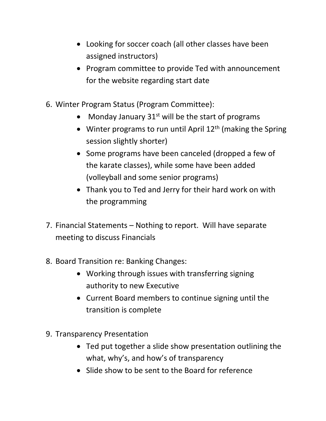- Looking for soccer coach (all other classes have been assigned instructors)
- Program committee to provide Ted with announcement for the website regarding start date
- 6. Winter Program Status (Program Committee):
	- Monday January  $31<sup>st</sup>$  will be the start of programs
	- Winter programs to run until April  $12<sup>th</sup>$  (making the Spring session slightly shorter)
	- Some programs have been canceled (dropped a few of the karate classes), while some have been added (volleyball and some senior programs)
	- Thank you to Ted and Jerry for their hard work on with the programming
- 7. Financial Statements Nothing to report. Will have separate meeting to discuss Financials
- 8. Board Transition re: Banking Changes:
	- Working through issues with transferring signing authority to new Executive
	- Current Board members to continue signing until the transition is complete
- 9. Transparency Presentation
	- Ted put together a slide show presentation outlining the what, why's, and how's of transparency
	- Slide show to be sent to the Board for reference